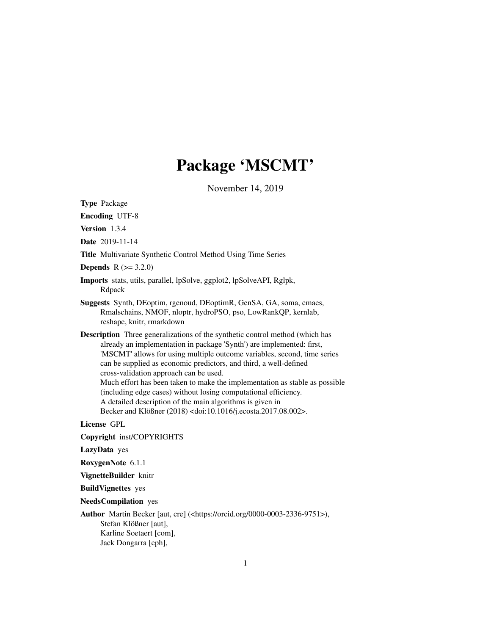# Package 'MSCMT'

November 14, 2019

<span id="page-0-0"></span>Type Package

Encoding UTF-8

Version 1.3.4

Date 2019-11-14

Title Multivariate Synthetic Control Method Using Time Series

**Depends**  $R (= 3.2.0)$ 

- Imports stats, utils, parallel, lpSolve, ggplot2, lpSolveAPI, Rglpk, Rdpack
- Suggests Synth, DEoptim, rgenoud, DEoptimR, GenSA, GA, soma, cmaes, Rmalschains, NMOF, nloptr, hydroPSO, pso, LowRankQP, kernlab, reshape, knitr, rmarkdown
- Description Three generalizations of the synthetic control method (which has already an implementation in package 'Synth') are implemented: first, 'MSCMT' allows for using multiple outcome variables, second, time series can be supplied as economic predictors, and third, a well-defined cross-validation approach can be used. Much effort has been taken to make the implementation as stable as possible (including edge cases) without losing computational efficiency. A detailed description of the main algorithms is given in Becker and Klößner (2018) <doi:10.1016/j.ecosta.2017.08.002>.

License GPL

Copyright inst/COPYRIGHTS

LazyData yes

RoxygenNote 6.1.1

VignetteBuilder knitr

BuildVignettes yes

NeedsCompilation yes

Author Martin Becker [aut, cre] (<https://orcid.org/0000-0003-2336-9751>), Stefan Klößner [aut], Karline Soetaert [com], Jack Dongarra [cph],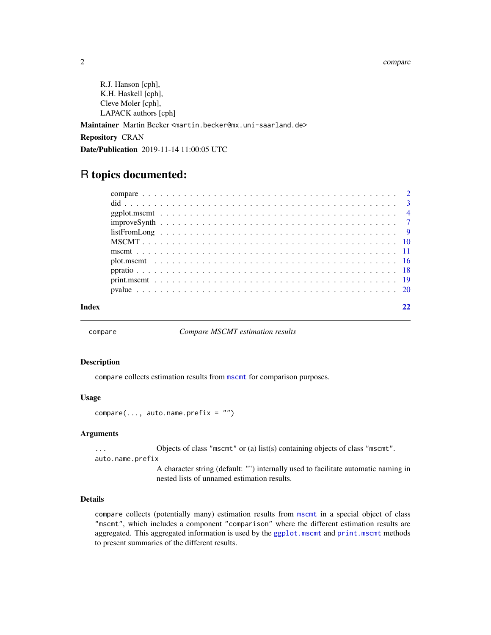#### <span id="page-1-0"></span>2 compare that the compare of the compare of the compare of the compare of the compare of the compare of the compare of the compare of the compare of the compare of the compare of the compare of the compare of the compare

R.J. Hanson [cph], K.H. Haskell [cph], Cleve Moler [cph], LAPACK authors [cph]

Maintainer Martin Becker <martin.becker@mx.uni-saarland.de>

Repository CRAN

Date/Publication 2019-11-14 11:00:05 UTC

# R topics documented:

| $listFromLong \dots \dots \dots \dots \dots \dots \dots \dots \dots \dots \dots \dots \dots \dots \dots \dots$ |  |  |  |  |  |  |  |  |  |  |  |  |  |  |  |  |  |  |  |
|----------------------------------------------------------------------------------------------------------------|--|--|--|--|--|--|--|--|--|--|--|--|--|--|--|--|--|--|--|
|                                                                                                                |  |  |  |  |  |  |  |  |  |  |  |  |  |  |  |  |  |  |  |
|                                                                                                                |  |  |  |  |  |  |  |  |  |  |  |  |  |  |  |  |  |  |  |
|                                                                                                                |  |  |  |  |  |  |  |  |  |  |  |  |  |  |  |  |  |  |  |
|                                                                                                                |  |  |  |  |  |  |  |  |  |  |  |  |  |  |  |  |  |  |  |
|                                                                                                                |  |  |  |  |  |  |  |  |  |  |  |  |  |  |  |  |  |  |  |
|                                                                                                                |  |  |  |  |  |  |  |  |  |  |  |  |  |  |  |  |  |  |  |
|                                                                                                                |  |  |  |  |  |  |  |  |  |  |  |  |  |  |  |  |  |  |  |

compare *Compare MSCMT estimation results*

### Description

compare collects estimation results from [mscmt](#page-10-1) for comparison purposes.

#### Usage

 $compare(\ldots, auto.name.prefix = "")$ 

#### **Arguments**

... Objects of class "mscmt" or (a) list(s) containing objects of class "mscmt".

auto.name.prefix

A character string (default: "") internally used to facilitate automatic naming in nested lists of unnamed estimation results.

# Details

compare collects (potentially many) estimation results from [mscmt](#page-10-1) in a special object of class "mscmt", which includes a component "comparison" where the different estimation results are aggregated. This aggregated information is used by the [ggplot.mscmt](#page-3-1) and [print.mscmt](#page-18-1) methods to present summaries of the different results.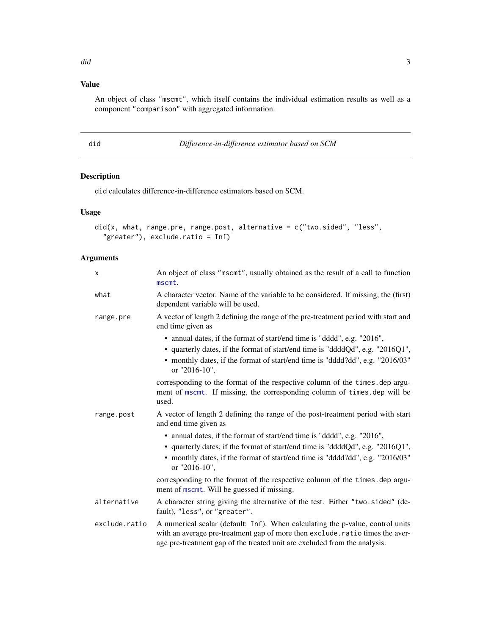# <span id="page-2-0"></span>Value

An object of class "mscmt", which itself contains the individual estimation results as well as a component "comparison" with aggregated information.

did *Difference-in-difference estimator based on SCM*

# Description

did calculates difference-in-difference estimators based on SCM.

#### Usage

```
did(x, what, range, pre, range, post, alternative = c("two.sided", "less","greater"), exclude.ratio = Inf)
```
# Arguments

| X             | An object of class "mscmt", usually obtained as the result of a call to function<br>mscmt.                                                                                                                                                                  |
|---------------|-------------------------------------------------------------------------------------------------------------------------------------------------------------------------------------------------------------------------------------------------------------|
| what          | A character vector. Name of the variable to be considered. If missing, the (first)<br>dependent variable will be used.                                                                                                                                      |
| range.pre     | A vector of length 2 defining the range of the pre-treatment period with start and<br>end time given as                                                                                                                                                     |
|               | • annual dates, if the format of start/end time is "dddd", e.g. "2016",<br>• quarterly dates, if the format of start/end time is "ddddQd", e.g. "2016Q1",<br>• monthly dates, if the format of start/end time is "dddd?dd", e.g. "2016/03"<br>or "2016-10", |
|               | corresponding to the format of the respective column of the times. dep argu-<br>ment of mscmt. If missing, the corresponding column of times.dep will be<br>used.                                                                                           |
| range.post    | A vector of length 2 defining the range of the post-treatment period with start<br>and end time given as                                                                                                                                                    |
|               | • annual dates, if the format of start/end time is "dddd", e.g. "2016",<br>• quarterly dates, if the format of start/end time is "ddddQd", e.g. "2016Q1",<br>• monthly dates, if the format of start/end time is "dddd?dd", e.g. "2016/03"<br>or "2016-10", |
|               | corresponding to the format of the respective column of the times. dep argu-<br>ment of mscmt. Will be guessed if missing.                                                                                                                                  |
| alternative   | A character string giving the alternative of the test. Either "two sided" (de-<br>fault), "less", or "greater".                                                                                                                                             |
| exclude.ratio | A numerical scalar (default: Inf). When calculating the p-value, control units<br>with an average pre-treatment gap of more then exclude.ratio times the aver-<br>age pre-treatment gap of the treated unit are excluded from the analysis.                 |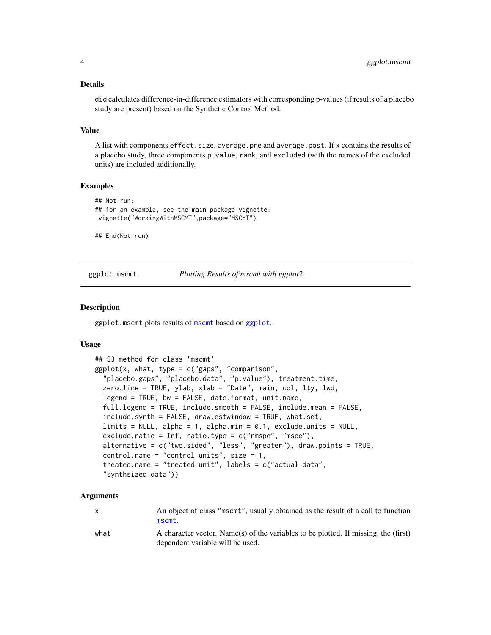#### <span id="page-3-0"></span>Details

did calculates difference-in-difference estimators with corresponding p-values (if results of a placebo study are present) based on the Synthetic Control Method.

#### Value

A list with components effect.size, average.pre and average.post. If x contains the results of a placebo study, three components p.value, rank, and excluded (with the names of the excluded units) are included additionally.

#### Examples

```
## Not run:
## for an example, see the main package vignette:
vignette("WorkingWithMSCMT",package="MSCMT")
```
## End(Not run)

<span id="page-3-1"></span>ggplot.mscmt *Plotting Results of mscmt with ggplot2*

#### **Description**

ggplot.mscmt plots results of [mscmt](#page-10-1) based on [ggplot](#page-0-0).

#### Usage

```
## S3 method for class 'mscmt'
ggplot(x, what, type = c("gaps", "comparison",
 "placebo.gaps", "placebo.data", "p.value"), treatment.time,
 zero.line = TRUE, ylab, xlab = "Date", main, col, lty, lwd,
 legend = TRUE, bw = FALSE, date.format, unit.name,
 full.legend = TRUE, include.smooth = FALSE, include.mean = FALSE,
 include.synth = FALSE, draw.estwindow = TRUE, what.set,
 limits = NULL, alpha = 1, alpha.min = 0.1, exclude.units = NULL,
 exclude.ratio = Inf, ratio.type = c("rmspe", "mspe"),
 alternative = c("two.sided", "less", "greater"), draw.points = TRUE,
 control.name = "control units", size = 1,
 treated.name = "treated unit", labels = c("actual data",
 "synthsized data"))
```
#### Arguments

x An object of class "mscmt", usually obtained as the result of a call to function [mscmt](#page-10-1).

what A character vector. Name(s) of the variables to be plotted. If missing, the (first) dependent variable will be used.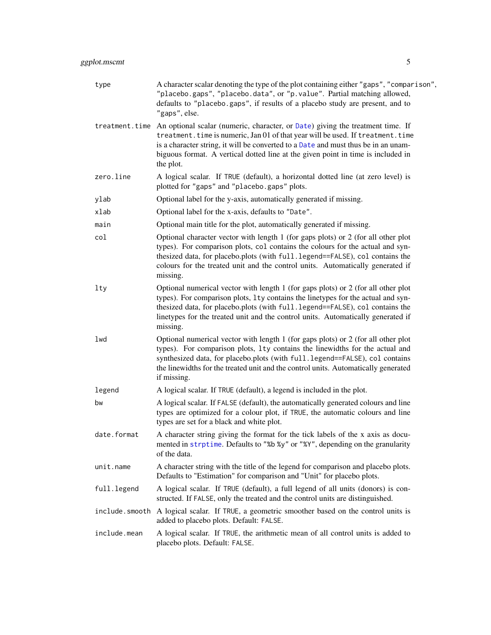<span id="page-4-0"></span>

| type         | A character scalar denoting the type of the plot containing either "gaps", "comparison",<br>"placebo.gaps", "placebo.data", or "p.value". Partial matching allowed,<br>defaults to "placebo.gaps", if results of a placebo study are present, and to<br>"gaps", else.                                                                                                    |
|--------------|--------------------------------------------------------------------------------------------------------------------------------------------------------------------------------------------------------------------------------------------------------------------------------------------------------------------------------------------------------------------------|
|              | treatment.time An optional scalar (numeric, character, or Date) giving the treatment time. If<br>treatment. time is numeric, Jan 01 of that year will be used. If treatment. time<br>is a character string, it will be converted to a Date and must thus be in an unam-<br>biguous format. A vertical dotted line at the given point in time is included in<br>the plot. |
| zero.line    | A logical scalar. If TRUE (default), a horizontal dotted line (at zero level) is<br>plotted for "gaps" and "placebo.gaps" plots.                                                                                                                                                                                                                                         |
| ylab         | Optional label for the y-axis, automatically generated if missing.                                                                                                                                                                                                                                                                                                       |
| xlab         | Optional label for the x-axis, defaults to "Date".                                                                                                                                                                                                                                                                                                                       |
| main         | Optional main title for the plot, automatically generated if missing.                                                                                                                                                                                                                                                                                                    |
| col          | Optional character vector with length 1 (for gaps plots) or 2 (for all other plot<br>types). For comparison plots, col contains the colours for the actual and syn-<br>thesized data, for placebo.plots (with full.legend==FALSE), col contains the<br>colours for the treated unit and the control units. Automatically generated if<br>missing.                        |
| lty          | Optional numerical vector with length 1 (for gaps plots) or 2 (for all other plot<br>types). For comparison plots, 1ty contains the linetypes for the actual and syn-<br>thesized data, for placebo.plots (with full.legend==FALSE), col contains the<br>linetypes for the treated unit and the control units. Automatically generated if<br>missing.                    |
| lwd          | Optional numerical vector with length 1 (for gaps plots) or 2 (for all other plot<br>types). For comparison plots, 1ty contains the linewidths for the actual and<br>synthesized data, for placebo.plots (with full.legend==FALSE), col contains<br>the linewidths for the treated unit and the control units. Automatically generated<br>if missing.                    |
| legend       | A logical scalar. If TRUE (default), a legend is included in the plot.                                                                                                                                                                                                                                                                                                   |
| bw           | A logical scalar. If FALSE (default), the automatically generated colours and line<br>types are optimized for a colour plot, if TRUE, the automatic colours and line<br>types are set for a black and white plot.                                                                                                                                                        |
| date.format  | A character string giving the format for the tick labels of the x axis as docu-<br>mented in strptime. Defaults to "%b %y" or "%Y", depending on the granularity<br>of the data.                                                                                                                                                                                         |
| unit.name    | A character string with the title of the legend for comparison and placebo plots.<br>Defaults to "Estimation" for comparison and "Unit" for placebo plots.                                                                                                                                                                                                               |
| full.legend  | A logical scalar. If TRUE (default), a full legend of all units (donors) is con-<br>structed. If FALSE, only the treated and the control units are distinguished.                                                                                                                                                                                                        |
|              | include. smooth A logical scalar. If TRUE, a geometric smoother based on the control units is<br>added to placebo plots. Default: FALSE.                                                                                                                                                                                                                                 |
| include.mean | A logical scalar. If TRUE, the arithmetic mean of all control units is added to<br>placebo plots. Default: FALSE.                                                                                                                                                                                                                                                        |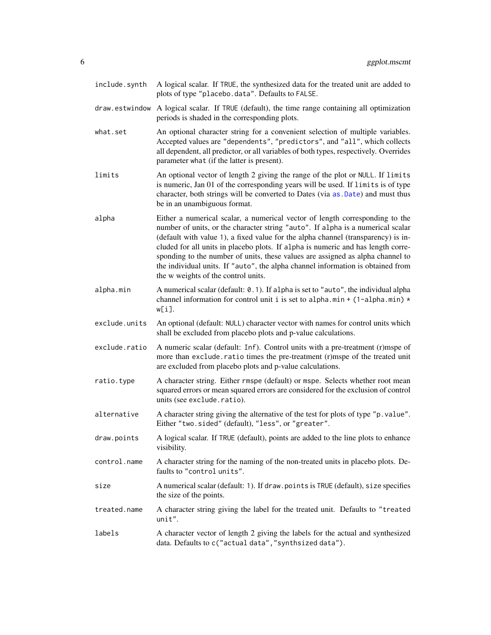- <span id="page-5-0"></span>include.synth A logical scalar. If TRUE, the synthesized data for the treated unit are added to plots of type "placebo.data". Defaults to FALSE.
- draw.estwindow A logical scalar. If TRUE (default), the time range containing all optimization periods is shaded in the corresponding plots.
- what.set An optional character string for a convenient selection of multiple variables. Accepted values are "dependents", "predictors", and "all", which collects all dependent, all predictor, or all variables of both types, respectively. Overrides parameter what (if the latter is present).
- limits An optional vector of length 2 giving the range of the plot or NULL. If limits is numeric, Jan 01 of the corresponding years will be used. If limits is of type character, both strings will be converted to Dates (via [as.Date](#page-0-0)) and must thus be in an unambiguous format.
- alpha Either a numerical scalar, a numerical vector of length corresponding to the number of units, or the character string "auto". If alpha is a numerical scalar (default with value 1), a fixed value for the alpha channel (transparency) is included for all units in placebo plots. If alpha is numeric and has length corresponding to the number of units, these values are assigned as alpha channel to the individual units. If "auto", the alpha channel information is obtained from the w weights of the control units.
- alpha.min A numerical scalar (default: 0.1). If alpha is set to "auto", the individual alpha channel information for control unit i is set to alpha.min + (1-alpha.min)  $*$ w[i].
- exclude.units An optional (default: NULL) character vector with names for control units which shall be excluded from placebo plots and p-value calculations.
- exclude.ratio A numeric scalar (default: Inf). Control units with a pre-treatment (r)mspe of more than exclude.ratio times the pre-treatment (r)mspe of the treated unit are excluded from placebo plots and p-value calculations.
- ratio.type A character string. Either rmspe (default) or mspe. Selects whether root mean squared errors or mean squared errors are considered for the exclusion of control units (see exclude.ratio).
- alternative A character string giving the alternative of the test for plots of type "p.value". Either "two.sided" (default), "less", or "greater".
- draw.points A logical scalar. If TRUE (default), points are added to the line plots to enhance visibility.
- control.name A character string for the naming of the non-treated units in placebo plots. Defaults to "control units".
- size A numerical scalar (default: 1). If draw.points is TRUE (default), size specifies the size of the points.
- treated.name A character string giving the label for the treated unit. Defaults to "treated unit".
- labels A character vector of length 2 giving the labels for the actual and synthesized data. Defaults to c("actual data","synthsized data").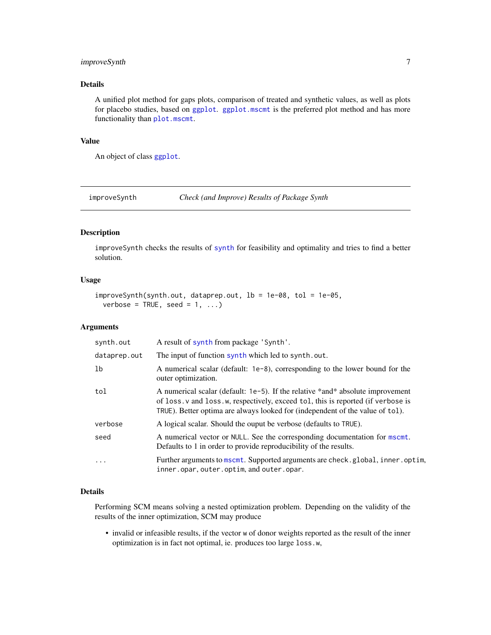### <span id="page-6-0"></span>improveSynth 7

#### Details

A unified plot method for gaps plots, comparison of treated and synthetic values, as well as plots for placebo studies, based on [ggplot](#page-0-0). [ggplot.mscmt](#page-3-1) is the preferred plot method and has more functionality than [plot.mscmt](#page-15-1).

# Value

An object of class [ggplot](#page-0-0).

improveSynth *Check (and Improve) Results of Package Synth*

#### Description

improveSynth checks the results of [synth](#page-0-0) for feasibility and optimality and tries to find a better solution.

#### Usage

```
improveSynth(synth.out, dataprep.out, lb = 1e-08, tol = 1e-05,
 verbose = TRUE, seed = 1, ...)
```
#### Arguments

| synth.out    | A result of synth from package 'Synth'.                                                                                                                                                                                                                                 |
|--------------|-------------------------------------------------------------------------------------------------------------------------------------------------------------------------------------------------------------------------------------------------------------------------|
| dataprep.out | The input of function synth which led to synth.out.                                                                                                                                                                                                                     |
| 1b           | A numerical scalar (default: $1e-8$ ), corresponding to the lower bound for the<br>outer optimization.                                                                                                                                                                  |
| tol          | A numerical scalar (default: 1e-5). If the relative *and* absolute improvement<br>of $\log x$ , $\nu$ and $\log x$ , $\nu$ , respectively, exceed tol, this is reported (if verbose is<br>TRUE). Better optima are always looked for (independent of the value of tol). |
| verbose      | A logical scalar. Should the ouput be verbose (defaults to TRUE).                                                                                                                                                                                                       |
| seed         | A numerical vector or NULL. See the corresponding documentation for mscmt.<br>Defaults to 1 in order to provide reproducibility of the results.                                                                                                                         |
| $\ddots$     | Further arguments to mscmt. Supported arguments are check.global, inner.optim,<br>inner.opar, outer.optim, and outer.opar.                                                                                                                                              |

#### Details

Performing SCM means solving a nested optimization problem. Depending on the validity of the results of the inner optimization, SCM may produce

• invalid or infeasible results, if the vector w of donor weights reported as the result of the inner optimization is in fact not optimal, ie. produces too large loss.w,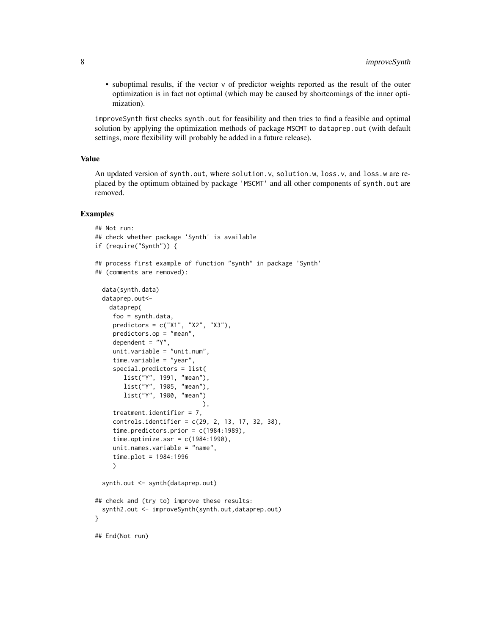• suboptimal results, if the vector v of predictor weights reported as the result of the outer optimization is in fact not optimal (which may be caused by shortcomings of the inner optimization).

improveSynth first checks synth.out for feasibility and then tries to find a feasible and optimal solution by applying the optimization methods of package MSCMT to dataprep.out (with default settings, more flexibility will probably be added in a future release).

#### Value

An updated version of synth.out, where solution.v, solution.w, loss.v, and loss.w are replaced by the optimum obtained by package 'MSCMT' and all other components of synth.out are removed.

#### Examples

```
## Not run:
## check whether package 'Synth' is available
if (require("Synth")) {
## process first example of function "synth" in package 'Synth'
## (comments are removed):
 data(synth.data)
 dataprep.out<-
    dataprep(
    foo = synth.data,
    predictors = c("X1", "X2", "X3"),
    predictors.op = "mean",
     dependent = "Y"unit.variable = "unit.num",
     time.variable = "year",
     special.predictors = list(
       list("Y", 1991, "mean"),
       list("Y", 1985, "mean"),
       list("Y", 1980, "mean")
                              ),
     treatment.identifier = 7,
     controls.identifier = c(29, 2, 13, 17, 32, 38),
     time.predictors.prior = c(1984:1989),
     time.optimize.ssr = c(1984:1990),
     unit.names.variable = "name",
     time.plot = 1984:1996
     )
 synth.out <- synth(dataprep.out)
## check and (try to) improve these results:
  synth2.out <- improveSynth(synth.out,dataprep.out)
}
## End(Not run)
```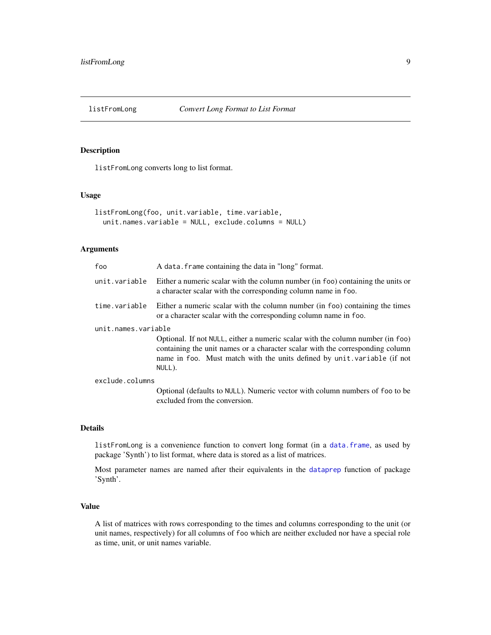<span id="page-8-1"></span><span id="page-8-0"></span>

#### Description

listFromLong converts long to list format.

#### Usage

```
listFromLong(foo, unit.variable, time.variable,
 unit.names.variable = NULL, exclude.columns = NULL)
```
#### Arguments

| foo                 | A data. frame containing the data in "long" format.                                                                                                                                                                                                  |
|---------------------|------------------------------------------------------------------------------------------------------------------------------------------------------------------------------------------------------------------------------------------------------|
| unit.variable       | Either a numeric scalar with the column number (in foo) containing the units or<br>a character scalar with the corresponding column name in foo.                                                                                                     |
| time.variable       | Either a numeric scalar with the column number (in foo) containing the times<br>or a character scalar with the corresponding column name in foo.                                                                                                     |
| unit.names.variable |                                                                                                                                                                                                                                                      |
|                     | Optional. If not NULL, either a numeric scalar with the column number (in foo)<br>containing the unit names or a character scalar with the corresponding column<br>name in foo. Must match with the units defined by unit variable (if not<br>NULL). |
| exclude.columns     |                                                                                                                                                                                                                                                      |
|                     | Optional (defaults to NULL). Numeric vector with column numbers of foo to be<br>excluded from the conversion.                                                                                                                                        |

#### Details

listFromLong is a convenience function to convert long format (in a [data.frame](#page-0-0), as used by package 'Synth') to list format, where data is stored as a list of matrices.

Most parameter names are named after their equivalents in the [dataprep](#page-0-0) function of package 'Synth'.

#### Value

A list of matrices with rows corresponding to the times and columns corresponding to the unit (or unit names, respectively) for all columns of foo which are neither excluded nor have a special role as time, unit, or unit names variable.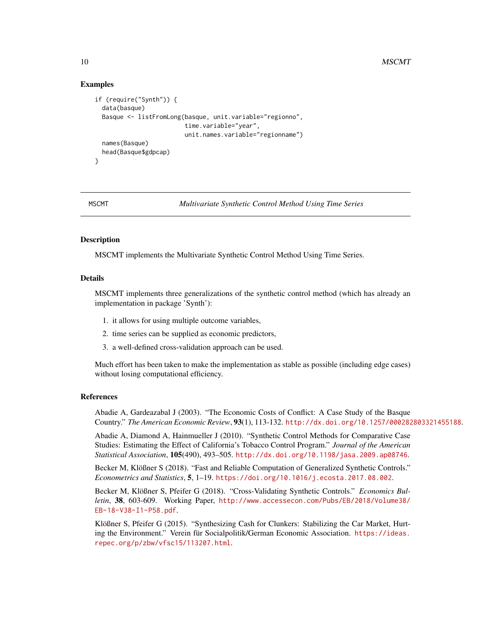#### Examples

```
if (require("Synth")) {
 data(basque)
 Basque <- listFromLong(basque, unit.variable="regionno",
                         time.variable="year",
                         unit.names.variable="regionname")
 names(Basque)
 head(Basque$gdpcap)
}
```
MSCMT *Multivariate Synthetic Control Method Using Time Series*

#### Description

MSCMT implements the Multivariate Synthetic Control Method Using Time Series.

#### Details

MSCMT implements three generalizations of the synthetic control method (which has already an implementation in package 'Synth'):

- 1. it allows for using multiple outcome variables,
- 2. time series can be supplied as economic predictors,
- 3. a well-defined cross-validation approach can be used.

Much effort has been taken to make the implementation as stable as possible (including edge cases) without losing computational efficiency.

#### References

Abadie A, Gardeazabal J (2003). "The Economic Costs of Conflict: A Case Study of the Basque Country." *The American Economic Review*, 93(1), 113-132. <http://dx.doi.org/10.1257/000282803321455188>.

Abadie A, Diamond A, Hainmueller J (2010). "Synthetic Control Methods for Comparative Case Studies: Estimating the Effect of California's Tobacco Control Program." *Journal of the American Statistical Association*, 105(490), 493–505. <http://dx.doi.org/10.1198/jasa.2009.ap08746>.

Becker M, Klößner S (2018). "Fast and Reliable Computation of Generalized Synthetic Controls." *Econometrics and Statistics*, 5, 1–19. <https://doi.org/10.1016/j.ecosta.2017.08.002>.

Becker M, Klößner S, Pfeifer G (2018). "Cross-Validating Synthetic Controls." *Economics Bulletin*, 38, 603-609. Working Paper, [http://www.accessecon.com/Pubs/EB/2018/Volume38/](http://www.accessecon.com/Pubs/EB/2018/Volume38/EB-18-V38-I1-P58.pdf) [EB-18-V38-I1-P58.pdf](http://www.accessecon.com/Pubs/EB/2018/Volume38/EB-18-V38-I1-P58.pdf).

Klößner S, Pfeifer G (2015). "Synthesizing Cash for Clunkers: Stabilizing the Car Market, Hurting the Environment." Verein für Socialpolitik/German Economic Association. [https://ideas.](https://ideas.repec.org/p/zbw/vfsc15/113207.html) [repec.org/p/zbw/vfsc15/113207.html](https://ideas.repec.org/p/zbw/vfsc15/113207.html).

<span id="page-9-0"></span>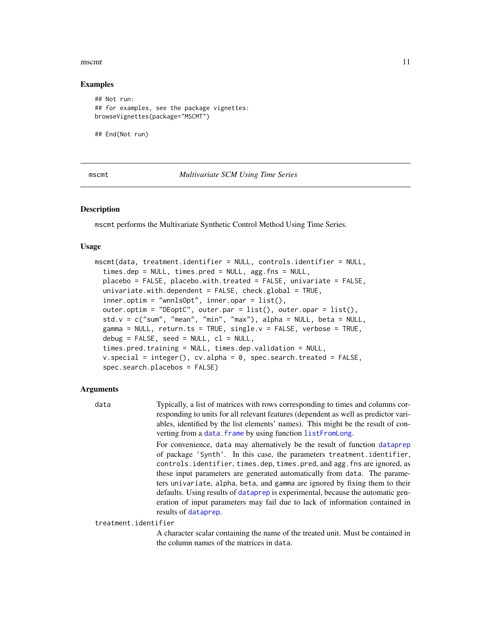#### <span id="page-10-0"></span> $\frac{11}{11}$

#### Examples

```
## Not run:
## for examples, see the package vignettes:
browseVignettes(package="MSCMT")
```
## End(Not run)

<span id="page-10-1"></span>mscmt *Multivariate SCM Using Time Series*

#### **Description**

mscmt performs the Multivariate Synthetic Control Method Using Time Series.

#### Usage

```
mscmt(data, treatment.identifier = NULL, controls.identifier = NULL,
  times.dep = NULL, times.pred = NULL, agg.fns = NULL,
  placebo = FALSE, placebo.with.treated = FALSE, univariate = FALSE,
  univariate.with.dependent = FALSE, check.global = TRUE,
  inner.optim = "wnnlsOpt", inner.opar = list(),
  outer.optim = "DEoptC", outer.par = list(), outer.opar = list(),
  std.v = c("sum", "mean", "min", "max"), alpha = NULL, beta = NULL,
  gamma = NULL, return.ts = TRUE, single.v = FALSE, verbose = TRUE,
  debug = FALSE, seed = NULL, cl = NULL,times.pred.training = NULL, times.dep.validation = NULL,
  v.\text{special} = \text{integer}(), cv.\text{alpha} = 0, spec.\text{search}.treated = FALSE,
  spec.search.placebos = FALSE)
```
#### Arguments

data Typically, a list of matrices with rows corresponding to times and columns corresponding to units for all relevant features (dependent as well as predictor variables, identified by the list elements' names). This might be the result of converting from a [data.frame](#page-0-0) by using function [listFromLong](#page-8-1).

> For convenience, data may alternatively be the result of function [dataprep](#page-0-0) of package 'Synth'. In this case, the parameters treatment.identifier, controls.identifier, times.dep, times.pred, and agg.fns are ignored, as these input parameters are generated automatically from data. The parameters univariate, alpha, beta, and gamma are ignored by fixing them to their defaults. Using results of [dataprep](#page-0-0) is experimental, because the automatic generation of input parameters may fail due to lack of information contained in results of [dataprep](#page-0-0).

treatment.identifier

A character scalar containing the name of the treated unit. Must be contained in the column names of the matrices in data.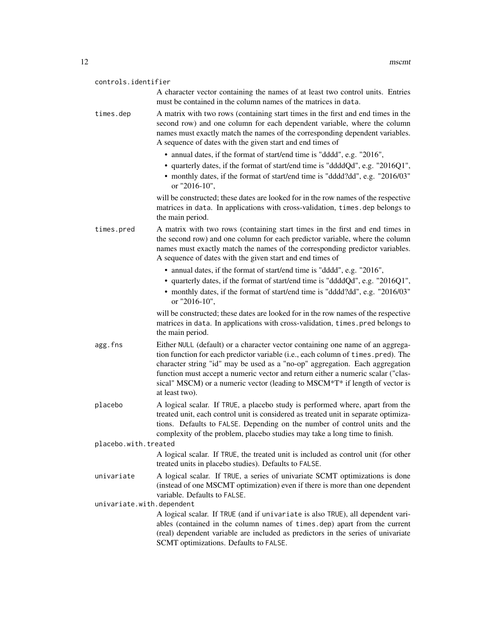| controls.identifier       |                                                                                                                                                                                                                                                                                                                                                                                                                                          |
|---------------------------|------------------------------------------------------------------------------------------------------------------------------------------------------------------------------------------------------------------------------------------------------------------------------------------------------------------------------------------------------------------------------------------------------------------------------------------|
|                           | A character vector containing the names of at least two control units. Entries<br>must be contained in the column names of the matrices in data.                                                                                                                                                                                                                                                                                         |
| times.dep                 | A matrix with two rows (containing start times in the first and end times in the<br>second row) and one column for each dependent variable, where the column<br>names must exactly match the names of the corresponding dependent variables.<br>A sequence of dates with the given start and end times of                                                                                                                                |
|                           | • annual dates, if the format of start/end time is "dddd", e.g. "2016",<br>• quarterly dates, if the format of start/end time is "ddddQd", e.g. "2016Q1",<br>• monthly dates, if the format of start/end time is "dddd?dd", e.g. "2016/03"<br>or "2016-10",                                                                                                                                                                              |
|                           | will be constructed; these dates are looked for in the row names of the respective<br>matrices in data. In applications with cross-validation, times . dep belongs to<br>the main period.                                                                                                                                                                                                                                                |
| times.pred                | A matrix with two rows (containing start times in the first and end times in<br>the second row) and one column for each predictor variable, where the column<br>names must exactly match the names of the corresponding predictor variables.<br>A sequence of dates with the given start and end times of                                                                                                                                |
|                           | • annual dates, if the format of start/end time is "dddd", e.g. "2016",<br>• quarterly dates, if the format of start/end time is "ddddQd", e.g. "2016Q1",<br>• monthly dates, if the format of start/end time is "dddd?dd", e.g. "2016/03"<br>or "2016-10",                                                                                                                                                                              |
|                           | will be constructed; these dates are looked for in the row names of the respective<br>matrices in data. In applications with cross-validation, times. pred belongs to<br>the main period.                                                                                                                                                                                                                                                |
| agg.fns                   | Either NULL (default) or a character vector containing one name of an aggrega-<br>tion function for each predictor variable (i.e., each column of times. pred). The<br>character string "id" may be used as a "no-op" aggregation. Each aggregation<br>function must accept a numeric vector and return either a numeric scalar ("clas-<br>sical" MSCM) or a numeric vector (leading to MSCM*T* if length of vector is<br>at least two). |
| placebo                   | A logical scalar. If TRUE, a placebo study is performed where, apart from the<br>treated unit, each control unit is considered as treated unit in separate optimiza-<br>tions. Defaults to FALSE. Depending on the number of control units and the<br>complexity of the problem, placebo studies may take a long time to finish.                                                                                                         |
| placebo.with.treated      |                                                                                                                                                                                                                                                                                                                                                                                                                                          |
|                           | A logical scalar. If TRUE, the treated unit is included as control unit (for other<br>treated units in placebo studies). Defaults to FALSE.                                                                                                                                                                                                                                                                                              |
| univariate                | A logical scalar. If TRUE, a series of univariate SCMT optimizations is done<br>(instead of one MSCMT optimization) even if there is more than one dependent<br>variable. Defaults to FALSE.                                                                                                                                                                                                                                             |
| univariate.with.dependent | A logical scalar. If TRUE (and if univariate is also TRUE), all dependent vari-                                                                                                                                                                                                                                                                                                                                                          |
|                           | ables (contained in the column names of times.dep) apart from the current<br>(real) dependent variable are included as predictors in the series of univariate<br>SCMT optimizations. Defaults to FALSE.                                                                                                                                                                                                                                  |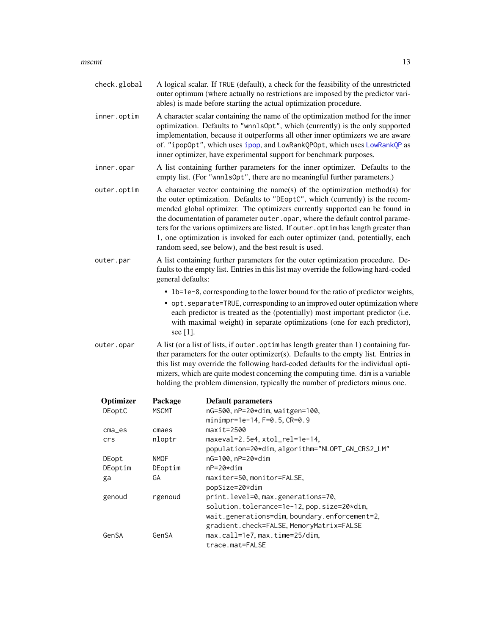#### <span id="page-12-0"></span> $\frac{13}{13}$

| check.global |                   | A logical scalar. If TRUE (default), a check for the feasibility of the unrestricted<br>outer optimum (where actually no restrictions are imposed by the predictor vari-<br>ables) is made before starting the actual optimization procedure.                                                                                                                                                                                                                                                                                                                   |  |  |  |  |  |  |
|--------------|-------------------|-----------------------------------------------------------------------------------------------------------------------------------------------------------------------------------------------------------------------------------------------------------------------------------------------------------------------------------------------------------------------------------------------------------------------------------------------------------------------------------------------------------------------------------------------------------------|--|--|--|--|--|--|
| inner.optim  |                   | A character scalar containing the name of the optimization method for the inner<br>optimization. Defaults to "wnn1s0pt", which (currently) is the only supported<br>implementation, because it outperforms all other inner optimizers we are aware<br>of. "ipopOpt", which uses ipop, and LowRankQPOpt, which uses LowRankQP as<br>inner optimizer, have experimental support for benchmark purposes.                                                                                                                                                           |  |  |  |  |  |  |
| inner.opar   |                   | A list containing further parameters for the inner optimizer. Defaults to the<br>empty list. (For "wnn1s0pt", there are no meaningful further parameters.)                                                                                                                                                                                                                                                                                                                                                                                                      |  |  |  |  |  |  |
| outer.optim  |                   | A character vector containing the name(s) of the optimization method(s) for<br>the outer optimization. Defaults to "DEoptC", which (currently) is the recom-<br>mended global optimizer. The optimizers currently supported can be found in<br>the documentation of parameter outer.opar, where the default control parame-<br>ters for the various optimizers are listed. If outer . optim has length greater than<br>1, one optimization is invoked for each outer optimizer (and, potentially, each<br>random seed, see below), and the best result is used. |  |  |  |  |  |  |
| outer.par    | general defaults: | A list containing further parameters for the outer optimization procedure. De-<br>faults to the empty list. Entries in this list may override the following hard-coded                                                                                                                                                                                                                                                                                                                                                                                          |  |  |  |  |  |  |
|              | see [1].          | • 1b=1e-8, corresponding to the lower bound for the ratio of predictor weights,<br>• opt. separate=TRUE, corresponding to an improved outer optimization where<br>each predictor is treated as the (potentially) most important predictor (i.e.<br>with maximal weight) in separate optimizations (one for each predictor),                                                                                                                                                                                                                                     |  |  |  |  |  |  |
| outer.opar   |                   | A list (or a list of lists, if outer. optim has length greater than 1) containing fur-<br>ther parameters for the outer optimizer(s). Defaults to the empty list. Entries in<br>this list may override the following hard-coded defaults for the individual opti-<br>mizers, which are quite modest concerning the computing time. dim is a variable<br>holding the problem dimension, typically the number of predictors minus one.                                                                                                                            |  |  |  |  |  |  |
| Optimizer    | Package           | <b>Default parameters</b>                                                                                                                                                                                                                                                                                                                                                                                                                                                                                                                                       |  |  |  |  |  |  |
| DEoptC       | <b>MSCMT</b>      | nG=500, nP=20*dim, waitgen=100,<br>minimpr=1e-14, F=0.5, CR=0.9                                                                                                                                                                                                                                                                                                                                                                                                                                                                                                 |  |  |  |  |  |  |
| $cma$ es     | cmaes             | $maxit = 2500$                                                                                                                                                                                                                                                                                                                                                                                                                                                                                                                                                  |  |  |  |  |  |  |
| crs          | nloptr            | maxeval=2.5e4, xtol_rel=1e-14,<br>population=20*dim, algorithm="NLOPT_GN_CRS2_LM"                                                                                                                                                                                                                                                                                                                                                                                                                                                                               |  |  |  |  |  |  |
| DEopt        | <b>NMOF</b>       | nG=100, nP=20*dim                                                                                                                                                                                                                                                                                                                                                                                                                                                                                                                                               |  |  |  |  |  |  |
| DEoptim      | DEoptim           | nP=20*dim                                                                                                                                                                                                                                                                                                                                                                                                                                                                                                                                                       |  |  |  |  |  |  |
| ga           | GА                | maxiter=50, monitor=FALSE,<br>popSize=20*dim                                                                                                                                                                                                                                                                                                                                                                                                                                                                                                                    |  |  |  |  |  |  |
| genoud       | rgenoud           | print.level=0, max.generations=70,<br>solution.tolerance=1e-12, pop.size=20*dim,<br>wait.generations=dim,boundary.enforcement=2,<br>gradient.check=FALSE, MemoryMatrix=FALSE                                                                                                                                                                                                                                                                                                                                                                                    |  |  |  |  |  |  |
| GenSA        | GenSA             | max.call=1e7, max.time=25/dim,<br>trace.mat=FALSE                                                                                                                                                                                                                                                                                                                                                                                                                                                                                                               |  |  |  |  |  |  |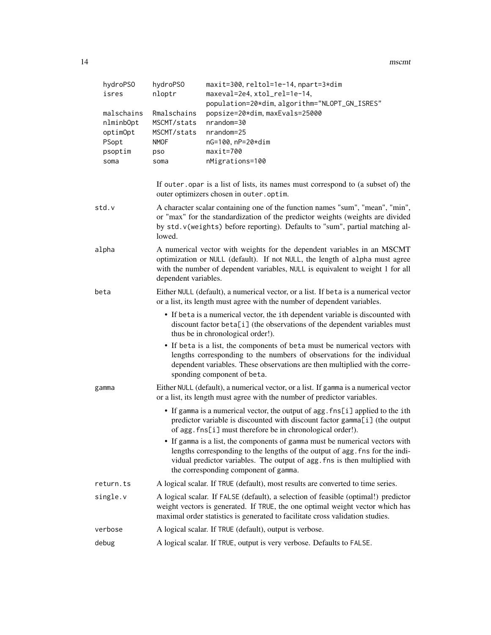| 14  | mscmt |
|-----|-------|
| . . |       |

| hydroPS0<br>isres                                               | hydroPS0<br>nloptr                                                      | maxit=300, reltol=1e-14, npart=3*dim<br>maxeval=2e4, xtol_rel=1e-14,<br>population=20*dim, algorithm="NLOPT_GN_ISRES"                                                                                                                                                               |
|-----------------------------------------------------------------|-------------------------------------------------------------------------|-------------------------------------------------------------------------------------------------------------------------------------------------------------------------------------------------------------------------------------------------------------------------------------|
| malschains<br>nlminbOpt<br>optimOpt<br>PSopt<br>psoptim<br>soma | Rmalschains<br>MSCMT/stats<br>MSCMT/stats<br><b>NMOF</b><br>pso<br>soma | popsize=20*dim, maxEvals=25000<br>nrandom=30<br>nrandom=25<br>nG=100, nP=20*dim<br>$maxit=700$<br>nMigrations=100                                                                                                                                                                   |
|                                                                 |                                                                         | If outer opar is a list of lists, its names must correspond to (a subset of) the<br>outer optimizers chosen in outer.optim.                                                                                                                                                         |
| std.v                                                           | lowed.                                                                  | A character scalar containing one of the function names "sum", "mean", "min",<br>or "max" for the standardization of the predictor weights (weights are divided<br>by std. v(weights) before reporting). Defaults to "sum", partial matching al-                                    |
| alpha                                                           | dependent variables.                                                    | A numerical vector with weights for the dependent variables in an MSCMT<br>optimization or NULL (default). If not NULL, the length of alpha must agree<br>with the number of dependent variables, NULL is equivalent to weight 1 for all                                            |
| beta                                                            |                                                                         | Either NULL (default), a numerical vector, or a list. If beta is a numerical vector<br>or a list, its length must agree with the number of dependent variables.                                                                                                                     |
|                                                                 |                                                                         | • If beta is a numerical vector, the ith dependent variable is discounted with<br>discount factor beta[i] (the observations of the dependent variables must<br>thus be in chronological order!).                                                                                    |
|                                                                 |                                                                         | • If beta is a list, the components of beta must be numerical vectors with<br>lengths corresponding to the numbers of observations for the individual<br>dependent variables. These observations are then multiplied with the corre-<br>sponding component of beta.                 |
| gamma                                                           |                                                                         | Either NULL (default), a numerical vector, or a list. If gamma is a numerical vector<br>or a list, its length must agree with the number of predictor variables.                                                                                                                    |
|                                                                 |                                                                         | • If gamma is a numerical vector, the output of agg. fns[i] applied to the ith<br>predictor variable is discounted with discount factor gamma[i] (the output<br>of agg. fns[i] must therefore be in chronological order!).                                                          |
|                                                                 |                                                                         | • If gamma is a list, the components of gamma must be numerical vectors with<br>lengths corresponding to the lengths of the output of agg. fns for the indi-<br>vidual predictor variables. The output of agg. fns is then multiplied with<br>the corresponding component of gamma. |
| return.ts                                                       |                                                                         | A logical scalar. If TRUE (default), most results are converted to time series.                                                                                                                                                                                                     |
| single.v                                                        |                                                                         | A logical scalar. If FALSE (default), a selection of feasible (optimal!) predictor<br>weight vectors is generated. If TRUE, the one optimal weight vector which has<br>maximal order statistics is generated to facilitate cross validation studies.                                |
| verbose                                                         |                                                                         | A logical scalar. If TRUE (default), output is verbose.                                                                                                                                                                                                                             |
| debug                                                           |                                                                         | A logical scalar. If TRUE, output is very verbose. Defaults to FALSE.                                                                                                                                                                                                               |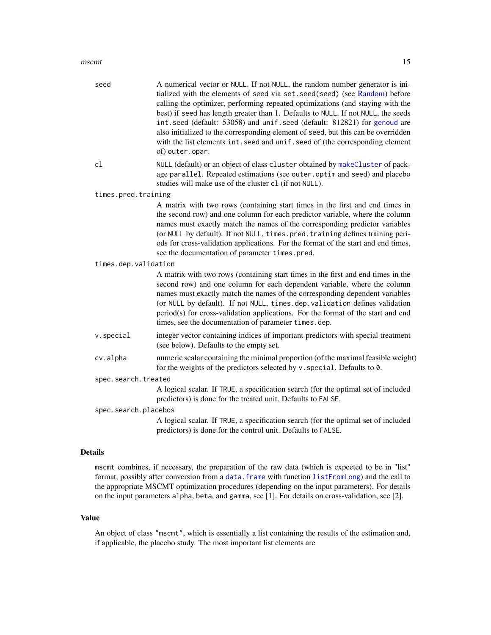#### <span id="page-14-0"></span> $\frac{15}{15}$

| seed                 | A numerical vector or NULL. If not NULL, the random number generator is ini-<br>tialized with the elements of seed via set. seed(seed) (see Random) before<br>calling the optimizer, performing repeated optimizations (and staying with the<br>best) if seed has length greater than 1. Defaults to NULL. If not NULL, the seeds<br>int.seed (default: 53058) and unif.seed (default: 812821) for genoud are<br>also initialized to the corresponding element of seed, but this can be overridden<br>with the list elements int. seed and unif. seed of (the corresponding element<br>of) outer.opar. |
|----------------------|--------------------------------------------------------------------------------------------------------------------------------------------------------------------------------------------------------------------------------------------------------------------------------------------------------------------------------------------------------------------------------------------------------------------------------------------------------------------------------------------------------------------------------------------------------------------------------------------------------|
| c1                   | NULL (default) or an object of class cluster obtained by makeCluster of pack-<br>age parallel. Repeated estimations (see outer. optim and seed) and placebo<br>studies will make use of the cluster c1 (if not NULL).                                                                                                                                                                                                                                                                                                                                                                                  |
| times.pred.training  |                                                                                                                                                                                                                                                                                                                                                                                                                                                                                                                                                                                                        |
|                      | A matrix with two rows (containing start times in the first and end times in<br>the second row) and one column for each predictor variable, where the column<br>names must exactly match the names of the corresponding predictor variables<br>(or NULL by default). If not NULL, times.pred.training defines training peri-<br>ods for cross-validation applications. For the format of the start and end times,<br>see the documentation of parameter times.pred.                                                                                                                                    |
| times.dep.validation |                                                                                                                                                                                                                                                                                                                                                                                                                                                                                                                                                                                                        |
|                      | A matrix with two rows (containing start times in the first and end times in the<br>second row) and one column for each dependent variable, where the column<br>names must exactly match the names of the corresponding dependent variables<br>(or NULL by default). If not NULL, times.dep.validation defines validation<br>period(s) for cross-validation applications. For the format of the start and end<br>times, see the documentation of parameter times.dep.                                                                                                                                  |
| v.special            | integer vector containing indices of important predictors with special treatment<br>(see below). Defaults to the empty set.                                                                                                                                                                                                                                                                                                                                                                                                                                                                            |
| cv.alpha             | numeric scalar containing the minimal proportion (of the maximal feasible weight)<br>for the weights of the predictors selected by v. special. Defaults to 0.                                                                                                                                                                                                                                                                                                                                                                                                                                          |
| spec.search.treated  |                                                                                                                                                                                                                                                                                                                                                                                                                                                                                                                                                                                                        |
|                      | A logical scalar. If TRUE, a specification search (for the optimal set of included<br>predictors) is done for the treated unit. Defaults to FALSE.                                                                                                                                                                                                                                                                                                                                                                                                                                                     |
| spec.search.placebos |                                                                                                                                                                                                                                                                                                                                                                                                                                                                                                                                                                                                        |
|                      | A logical scalar. If TRUE, a specification search (for the optimal set of included<br>predictors) is done for the control unit. Defaults to FALSE.                                                                                                                                                                                                                                                                                                                                                                                                                                                     |
| <b>Details</b>       |                                                                                                                                                                                                                                                                                                                                                                                                                                                                                                                                                                                                        |

mscmt combines, if necessary, the preparation of the raw data (which is expected to be in "list" format, possibly after conversion from a data. frame with function [listFromLong](#page-8-1)) and the call to the appropriate MSCMT optimization procedures (depending on the input parameters). For details on the input parameters alpha, beta, and gamma, see [1]. For details on cross-validation, see [2].

#### Value

An object of class "mscmt", which is essentially a list containing the results of the estimation and, if applicable, the placebo study. The most important list elements are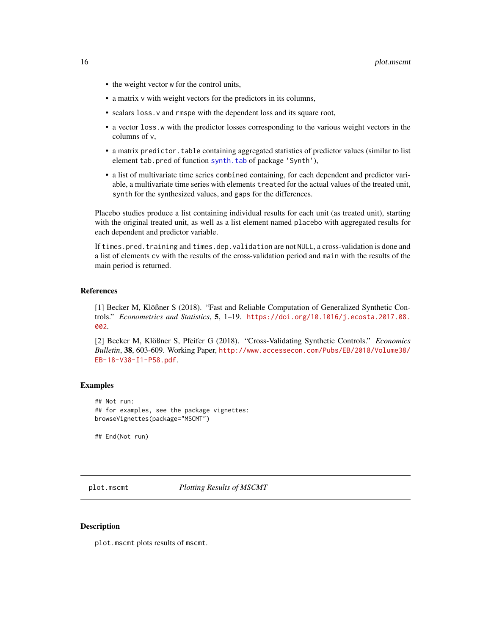- <span id="page-15-0"></span>• the weight vector w for the control units,
- a matrix v with weight vectors for the predictors in its columns,
- scalars loss.v and rmspe with the dependent loss and its square root,
- a vector loss.w with the predictor losses corresponding to the various weight vectors in the columns of v,
- a matrix predictor.table containing aggregated statistics of predictor values (similar to list element tab.pred of function [synth.tab](#page-0-0) of package 'Synth'),
- a list of multivariate time series combined containing, for each dependent and predictor variable, a multivariate time series with elements treated for the actual values of the treated unit, synth for the synthesized values, and gaps for the differences.

Placebo studies produce a list containing individual results for each unit (as treated unit), starting with the original treated unit, as well as a list element named placebo with aggregated results for each dependent and predictor variable.

If times.pred.training and times.dep.validation are not NULL, a cross-validation is done and a list of elements cv with the results of the cross-validation period and main with the results of the main period is returned.

#### References

[1] Becker M, Klößner S (2018). "Fast and Reliable Computation of Generalized Synthetic Controls." *Econometrics and Statistics*, 5, 1–19. [https://doi.org/10.1016/j.ecosta.2017.08.](https://doi.org/10.1016/j.ecosta.2017.08.002) [002](https://doi.org/10.1016/j.ecosta.2017.08.002).

[2] Becker M, Klößner S, Pfeifer G (2018). "Cross-Validating Synthetic Controls." *Economics Bulletin*, 38, 603-609. Working Paper, [http://www.accessecon.com/Pubs/EB/2018/Volume38/](http://www.accessecon.com/Pubs/EB/2018/Volume38/EB-18-V38-I1-P58.pdf) [EB-18-V38-I1-P58.pdf](http://www.accessecon.com/Pubs/EB/2018/Volume38/EB-18-V38-I1-P58.pdf).

#### Examples

## Not run: ## for examples, see the package vignettes: browseVignettes(package="MSCMT")

## End(Not run)

<span id="page-15-1"></span>plot.mscmt *Plotting Results of MSCMT*

#### Description

plot.mscmt plots results of mscmt.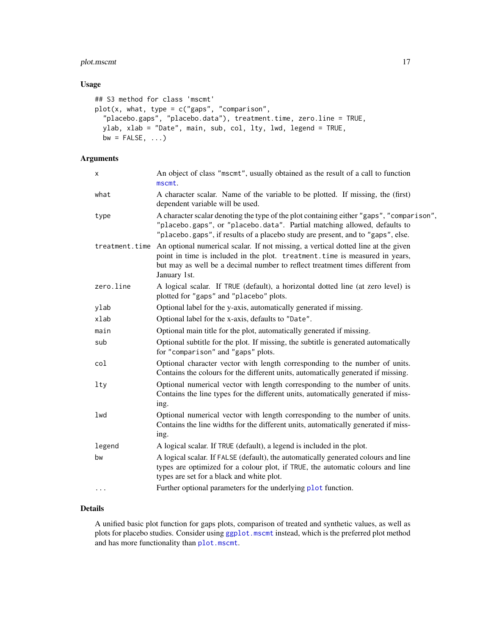### <span id="page-16-0"></span>plot.mscmt 17

#### Usage

```
## S3 method for class 'mscmt'
plot(x, what, type = c("gaps", "comparison",
  "placebo.gaps", "placebo.data"), treatment.time, zero.line = TRUE,
 ylab, xlab = "Date", main, sub, col, lty, lwd, legend = TRUE,
 bw = FALSE, ...)
```
# Arguments

| X              | An object of class "mscmt", usually obtained as the result of a call to function<br>mscmt.                                                                                                                                                                         |
|----------------|--------------------------------------------------------------------------------------------------------------------------------------------------------------------------------------------------------------------------------------------------------------------|
| what           | A character scalar. Name of the variable to be plotted. If missing, the (first)<br>dependent variable will be used.                                                                                                                                                |
| type           | A character scalar denoting the type of the plot containing either "gaps", "comparison",<br>"placebo.gaps", or "placebo.data". Partial matching allowed, defaults to<br>"placebo.gaps", if results of a placebo study are present, and to "gaps", else.            |
| treatment.time | An optional numerical scalar. If not missing, a vertical dotted line at the given<br>point in time is included in the plot. treatment. time is measured in years,<br>but may as well be a decimal number to reflect treatment times different from<br>January 1st. |
| zero.line      | A logical scalar. If TRUE (default), a horizontal dotted line (at zero level) is<br>plotted for "gaps" and "placebo" plots.                                                                                                                                        |
| ylab           | Optional label for the y-axis, automatically generated if missing.                                                                                                                                                                                                 |
| xlab           | Optional label for the x-axis, defaults to "Date".                                                                                                                                                                                                                 |
| main           | Optional main title for the plot, automatically generated if missing.                                                                                                                                                                                              |
| sub            | Optional subtitle for the plot. If missing, the subtitle is generated automatically<br>for "comparison" and "gaps" plots.                                                                                                                                          |
| col            | Optional character vector with length corresponding to the number of units.<br>Contains the colours for the different units, automatically generated if missing.                                                                                                   |
| lty            | Optional numerical vector with length corresponding to the number of units.<br>Contains the line types for the different units, automatically generated if miss-<br>ing.                                                                                           |
| lwd            | Optional numerical vector with length corresponding to the number of units.<br>Contains the line widths for the different units, automatically generated if miss-<br>ing.                                                                                          |
| legend         | A logical scalar. If TRUE (default), a legend is included in the plot.                                                                                                                                                                                             |
| bw             | A logical scalar. If FALSE (default), the automatically generated colours and line<br>types are optimized for a colour plot, if TRUE, the automatic colours and line<br>types are set for a black and white plot.                                                  |
| $\cdots$       | Further optional parameters for the underlying plot function.                                                                                                                                                                                                      |

# Details

A unified basic plot function for gaps plots, comparison of treated and synthetic values, as well as plots for placebo studies. Consider using [ggplot.mscmt](#page-3-1) instead, which is the preferred plot method and has more functionality than [plot.mscmt](#page-15-1).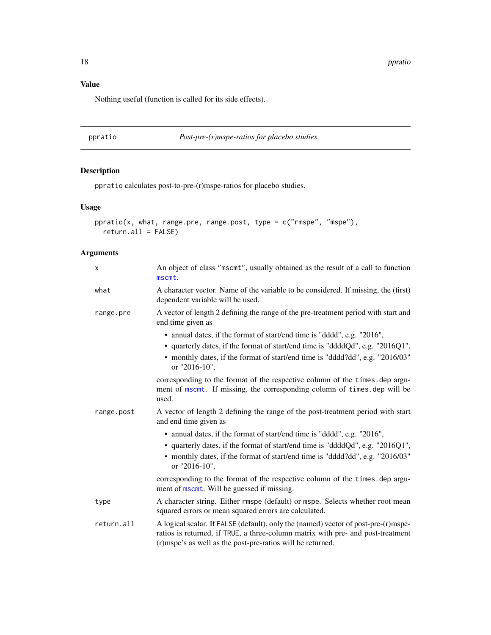<span id="page-17-0"></span>18 **ppratio** 

# Value

Nothing useful (function is called for its side effects).

ppratio *Post-pre-(r)mspe-ratios for placebo studies*

# Description

ppratio calculates post-to-pre-(r)mspe-ratios for placebo studies.

# Usage

```
ppratio(x, what, range.pre, range.post, type = c("rmspe", "mspe"),
  return. all = FALSE)
```
# Arguments

| X          | An object of class "mscmt", usually obtained as the result of a call to function<br>mscmt.                                                                                                                                                                  |
|------------|-------------------------------------------------------------------------------------------------------------------------------------------------------------------------------------------------------------------------------------------------------------|
| what       | A character vector. Name of the variable to be considered. If missing, the (first)<br>dependent variable will be used.                                                                                                                                      |
| range.pre  | A vector of length 2 defining the range of the pre-treatment period with start and<br>end time given as                                                                                                                                                     |
|            | • annual dates, if the format of start/end time is "dddd", e.g. "2016",<br>• quarterly dates, if the format of start/end time is "ddddQd", e.g. "2016Q1",<br>• monthly dates, if the format of start/end time is "dddd?dd", e.g. "2016/03"<br>or "2016-10", |
|            | corresponding to the format of the respective column of the times. dep argu-<br>ment of mscmt. If missing, the corresponding column of times.dep will be<br>used.                                                                                           |
| range.post | A vector of length 2 defining the range of the post-treatment period with start<br>and end time given as                                                                                                                                                    |
|            | • annual dates, if the format of start/end time is "dddd", e.g. "2016",<br>• quarterly dates, if the format of start/end time is "ddddQd", e.g. "2016Q1",<br>• monthly dates, if the format of start/end time is "dddd?dd", e.g. "2016/03"<br>or "2016-10", |
|            | corresponding to the format of the respective column of the times. dep argu-<br>ment of mscmt. Will be guessed if missing.                                                                                                                                  |
| type       | A character string. Either rmspe (default) or mspe. Selects whether root mean<br>squared errors or mean squared errors are calculated.                                                                                                                      |
| return.all | A logical scalar. If FALSE (default), only the (named) vector of post-pre-(r)mspe-<br>ratios is returned, if TRUE, a three-column matrix with pre- and post-treatment<br>(r)mspe's as well as the post-pre-ratios will be returned.                         |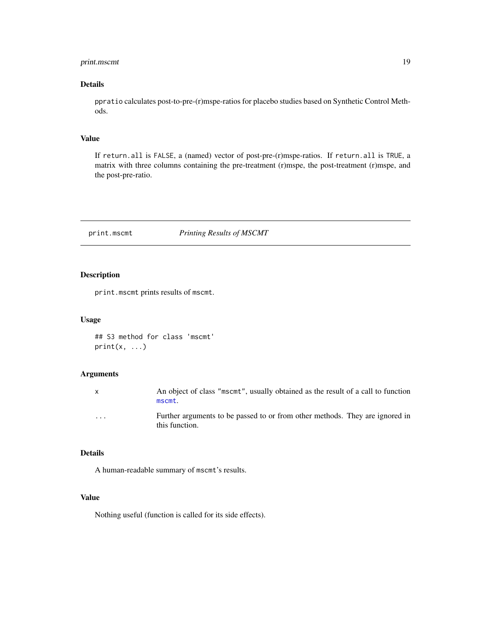### <span id="page-18-0"></span>print.mscmt 19

### Details

ppratio calculates post-to-pre-(r)mspe-ratios for placebo studies based on Synthetic Control Methods.

# Value

If return.all is FALSE, a (named) vector of post-pre-(r)mspe-ratios. If return.all is TRUE, a matrix with three columns containing the pre-treatment (r)mspe, the post-treatment (r)mspe, and the post-pre-ratio.

<span id="page-18-1"></span>print.mscmt *Printing Results of MSCMT*

#### Description

print.mscmt prints results of mscmt.

#### Usage

## S3 method for class 'mscmt'  $print(x, \ldots)$ 

### Arguments

| $\mathsf{X}$            | An object of class "mscmt", usually obtained as the result of a call to function<br>mscmt.     |
|-------------------------|------------------------------------------------------------------------------------------------|
| $\cdot$ $\cdot$ $\cdot$ | Further arguments to be passed to or from other methods. They are ignored in<br>this function. |

#### Details

A human-readable summary of mscmt's results.

#### Value

Nothing useful (function is called for its side effects).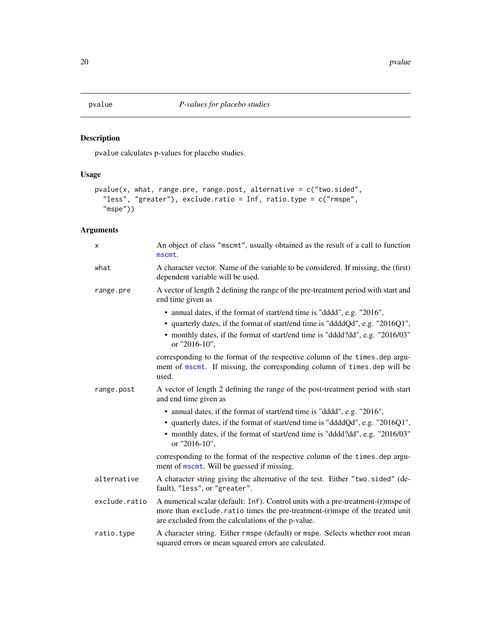### <span id="page-19-0"></span>Description

pvalue calculates p-values for placebo studies.

### Usage

```
pvalue(x, what, range.pre, range.post, alternative = c("two.sided",
  "less", "greater"), exclude.ratio = Inf, ratio.type = c("rmspe",
  "mspe"))
```
# Arguments

| X             | An object of class "mscmt", usually obtained as the result of a call to function<br>mscmt.                                                                                                                                                                  |
|---------------|-------------------------------------------------------------------------------------------------------------------------------------------------------------------------------------------------------------------------------------------------------------|
| what          | A character vector. Name of the variable to be considered. If missing, the (first)<br>dependent variable will be used.                                                                                                                                      |
| range.pre     | A vector of length 2 defining the range of the pre-treatment period with start and<br>end time given as                                                                                                                                                     |
|               | • annual dates, if the format of start/end time is "dddd", e.g. "2016",<br>• quarterly dates, if the format of start/end time is "ddddQd", e.g. "2016Q1",<br>• monthly dates, if the format of start/end time is "dddd?dd", e.g. "2016/03"<br>or "2016-10", |
|               | corresponding to the format of the respective column of the times. dep argu-<br>ment of mscmt. If missing, the corresponding column of times.dep will be<br>used.                                                                                           |
| range.post    | A vector of length 2 defining the range of the post-treatment period with start<br>and end time given as                                                                                                                                                    |
|               | • annual dates, if the format of start/end time is "dddd", e.g. "2016",                                                                                                                                                                                     |
|               | • quarterly dates, if the format of start/end time is "ddddQd", e.g. "2016Q1",                                                                                                                                                                              |
|               | • monthly dates, if the format of start/end time is "dddd?dd", e.g. "2016/03"<br>or "2016-10",                                                                                                                                                              |
|               | corresponding to the format of the respective column of the times. dep argu-<br>ment of mscmt. Will be guessed if missing.                                                                                                                                  |
| alternative   | A character string giving the alternative of the test. Either "two.sided" (de-<br>fault), "less", or "greater".                                                                                                                                             |
| exclude.ratio | A numerical scalar (default: Inf). Control units with a pre-treatment-(r)mspe of<br>more than exclude.ratio times the pre-treatment-(r)mspe of the treated unit<br>are excluded from the calculations of the p-value.                                       |
| ratio.type    | A character string. Either rmspe (default) or mspe. Selects whether root mean<br>squared errors or mean squared errors are calculated.                                                                                                                      |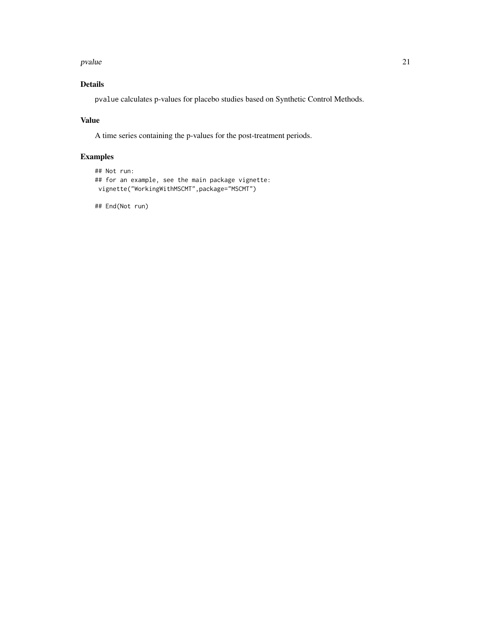#### pvalue 21 and 22 and 22 and 22 and 22 and 23 and 23 and 23 and 24 and 25 and 26 and 27 and 27 and 27 and 27 and 27 and 27 and 27 and 27 and 27 and 27 and 27 and 27 and 27 and 27 and 27 and 27 and 27 and 27 and 27 and 27 an

# Details

pvalue calculates p-values for placebo studies based on Synthetic Control Methods.

### Value

A time series containing the p-values for the post-treatment periods.

# Examples

```
## Not run:
## for an example, see the main package vignette:
vignette("WorkingWithMSCMT",package="MSCMT")
```
## End(Not run)